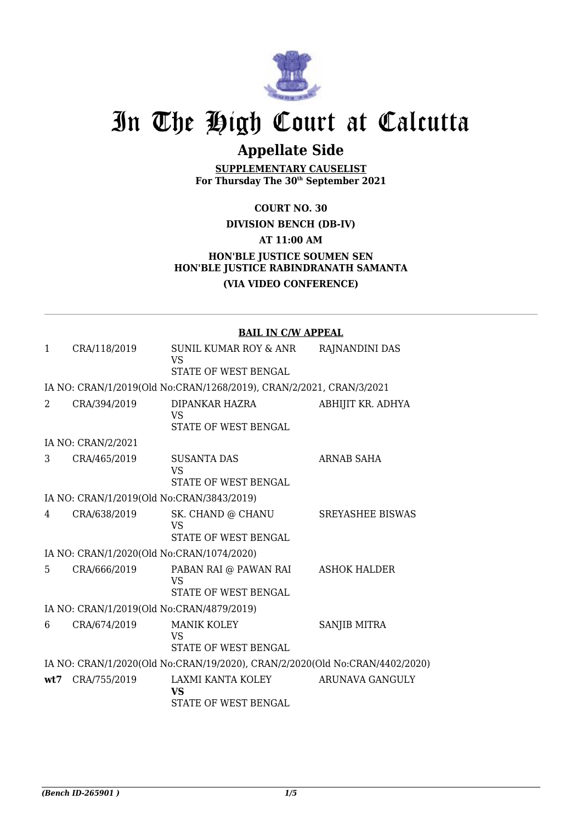

# In The High Court at Calcutta

## **Appellate Side**

**SUPPLEMENTARY CAUSELIST For Thursday The 30th September 2021**

**COURT NO. 30**

#### **DIVISION BENCH (DB-IV)**

**AT 11:00 AM**

### **HON'BLE JUSTICE SOUMEN SEN HON'BLE JUSTICE RABINDRANATH SAMANTA (VIA VIDEO CONFERENCE)**

|                                           |                                           | <b>BAIL IN C/W APPEAL</b>                                                   |                     |  |
|-------------------------------------------|-------------------------------------------|-----------------------------------------------------------------------------|---------------------|--|
| 1                                         | CRA/118/2019                              | SUNIL KUMAR ROY & ANR<br><b>VS</b><br>STATE OF WEST BENGAL                  | RAJNANDINI DAS      |  |
|                                           |                                           | IA NO: CRAN/1/2019(Old No:CRAN/1268/2019), CRAN/2/2021, CRAN/3/2021         |                     |  |
| 2                                         | CRA/394/2019                              | DIPANKAR HAZRA<br><b>VS</b><br>STATE OF WEST BENGAL                         | ABHIJIT KR. ADHYA   |  |
|                                           | IA NO: CRAN/2/2021                        |                                                                             |                     |  |
| 3                                         | CRA/465/2019                              | <b>SUSANTA DAS</b><br><b>VS</b><br>STATE OF WEST BENGAL                     | ARNAB SAHA          |  |
| IA NO: CRAN/1/2019(Old No:CRAN/3843/2019) |                                           |                                                                             |                     |  |
| 4                                         | CRA/638/2019                              | SK. CHAND @ CHANU<br><b>VS</b><br>STATE OF WEST BENGAL                      | SREYASHEE BISWAS    |  |
|                                           | IA NO: CRAN/1/2020(Old No:CRAN/1074/2020) |                                                                             |                     |  |
| 5.                                        | CRA/666/2019                              | PABAN RAI @ PAWAN RAI<br><b>VS</b><br>STATE OF WEST BENGAL                  | <b>ASHOK HALDER</b> |  |
|                                           | IA NO: CRAN/1/2019(Old No:CRAN/4879/2019) |                                                                             |                     |  |
| 6                                         | CRA/674/2019                              | <b>MANIK KOLEY</b><br><b>VS</b><br>STATE OF WEST BENGAL                     | <b>SANJIB MITRA</b> |  |
|                                           |                                           | IA NO: CRAN/1/2020(Old No:CRAN/19/2020), CRAN/2/2020(Old No:CRAN/4402/2020) |                     |  |
| wt7                                       | CRA/755/2019                              | LAXMI KANTA KOLEY<br><b>VS</b><br>STATE OF WEST BENGAL                      | ARUNAVA GANGULY     |  |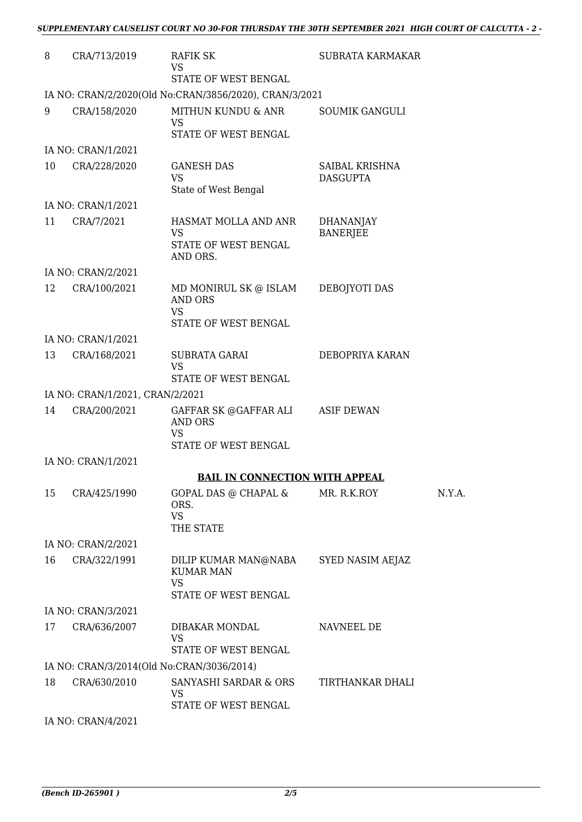| 8  | CRA/713/2019                              | RAFIK SK<br><b>VS</b>                                                                   | SUBRATA KARMAKAR                    |        |
|----|-------------------------------------------|-----------------------------------------------------------------------------------------|-------------------------------------|--------|
|    |                                           | STATE OF WEST BENGAL                                                                    |                                     |        |
|    |                                           | IA NO: CRAN/2/2020(Old No:CRAN/3856/2020), CRAN/3/2021                                  |                                     |        |
| 9  | CRA/158/2020                              | MITHUN KUNDU & ANR<br><b>VS</b>                                                         | <b>SOUMIK GANGULI</b>               |        |
|    |                                           | STATE OF WEST BENGAL                                                                    |                                     |        |
|    | IA NO: CRAN/1/2021                        |                                                                                         |                                     |        |
| 10 | CRA/228/2020                              | <b>GANESH DAS</b><br><b>VS</b><br>State of West Bengal                                  | SAIBAL KRISHNA<br><b>DASGUPTA</b>   |        |
|    | IA NO: CRAN/1/2021                        |                                                                                         |                                     |        |
| 11 | CRA/7/2021                                | HASMAT MOLLA AND ANR<br><b>VS</b><br>STATE OF WEST BENGAL<br>AND ORS.                   | <b>DHANANJAY</b><br><b>BANERJEE</b> |        |
|    | IA NO: CRAN/2/2021                        |                                                                                         |                                     |        |
| 12 | CRA/100/2021                              | MD MONIRUL SK @ ISLAM<br><b>AND ORS</b><br><b>VS</b>                                    | DEBOJYOTI DAS                       |        |
|    |                                           | STATE OF WEST BENGAL                                                                    |                                     |        |
|    | IA NO: CRAN/1/2021                        |                                                                                         |                                     |        |
| 13 | CRA/168/2021                              | <b>SUBRATA GARAI</b><br><b>VS</b><br>STATE OF WEST BENGAL                               | DEBOPRIYA KARAN                     |        |
|    | IA NO: CRAN/1/2021, CRAN/2/2021           |                                                                                         |                                     |        |
| 14 |                                           |                                                                                         |                                     |        |
|    | CRA/200/2021                              | GAFFAR SK @GAFFAR ALI ASIF DEWAN<br><b>AND ORS</b><br><b>VS</b><br>STATE OF WEST BENGAL |                                     |        |
|    | IA NO: CRAN/1/2021                        |                                                                                         |                                     |        |
|    |                                           | <b>BAIL IN CONNECTION WITH APPEAL</b>                                                   |                                     |        |
| 15 | CRA/425/1990                              | GOPAL DAS @ CHAPAL & MR. R.K.ROY<br>ORS.<br><b>VS</b><br>THE STATE                      |                                     | N.Y.A. |
|    | IA NO: CRAN/2/2021                        |                                                                                         |                                     |        |
| 16 | CRA/322/1991                              | DILIP KUMAR MAN@NABA<br><b>KUMAR MAN</b><br><b>VS</b>                                   | SYED NASIM AEJAZ                    |        |
|    |                                           | STATE OF WEST BENGAL                                                                    |                                     |        |
|    | IA NO: CRAN/3/2021                        |                                                                                         |                                     |        |
| 17 | CRA/636/2007                              | DIBAKAR MONDAL<br><b>VS</b>                                                             | NAVNEEL DE                          |        |
|    |                                           | STATE OF WEST BENGAL                                                                    |                                     |        |
|    | IA NO: CRAN/3/2014(Old No:CRAN/3036/2014) |                                                                                         |                                     |        |
| 18 | CRA/630/2010                              | SANYASHI SARDAR & ORS<br>VS<br>STATE OF WEST BENGAL                                     | TIRTHANKAR DHALI                    |        |
|    | IA NO: CRAN/4/2021                        |                                                                                         |                                     |        |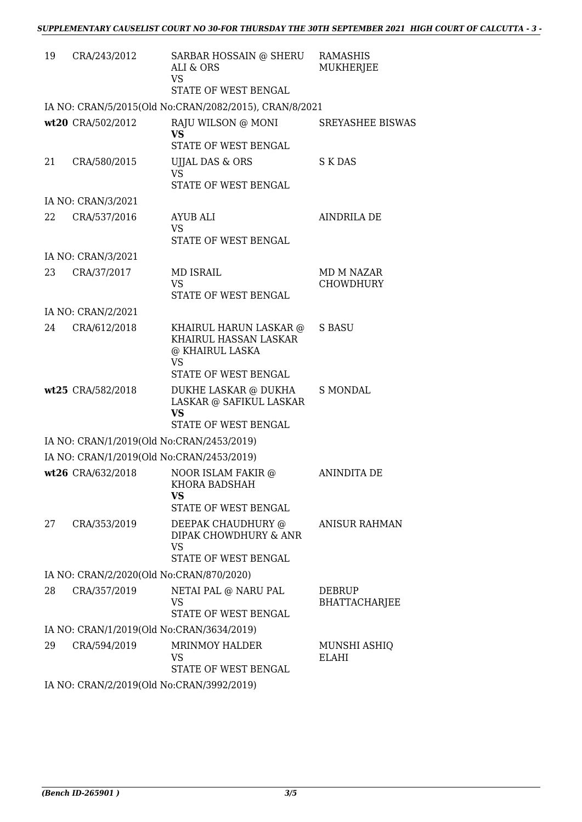| 19 | CRA/243/2012                              | SARBAR HOSSAIN @ SHERU RAMASHIS<br>ALI & ORS<br><b>VS</b>                                                    | <b>MUKHERJEE</b>                      |
|----|-------------------------------------------|--------------------------------------------------------------------------------------------------------------|---------------------------------------|
|    |                                           | STATE OF WEST BENGAL                                                                                         |                                       |
|    |                                           | IA NO: CRAN/5/2015(Old No:CRAN/2082/2015), CRAN/8/2021                                                       |                                       |
|    | wt20 CRA/502/2012                         | RAJU WILSON @ MONI<br><b>VS</b><br>STATE OF WEST BENGAL                                                      | <b>SREYASHEE BISWAS</b>               |
| 21 | CRA/580/2015                              | UJJAL DAS & ORS<br><b>VS</b><br>STATE OF WEST BENGAL                                                         | <b>S K DAS</b>                        |
|    | IA NO: CRAN/3/2021                        |                                                                                                              |                                       |
| 22 | CRA/537/2016                              | AYUB ALI<br><b>VS</b><br>STATE OF WEST BENGAL                                                                | <b>AINDRILA DE</b>                    |
|    | IA NO: CRAN/3/2021                        |                                                                                                              |                                       |
| 23 | CRA/37/2017                               | <b>MD ISRAIL</b><br><b>VS</b><br>STATE OF WEST BENGAL                                                        | MD M NAZAR<br><b>CHOWDHURY</b>        |
|    | IA NO: CRAN/2/2021                        |                                                                                                              |                                       |
| 24 | CRA/612/2018                              | KHAIRUL HARUN LASKAR @<br>KHAIRUL HASSAN LASKAR<br>@ KHAIRUL LASKA<br><b>VS</b>                              | <b>S BASU</b>                         |
|    | wt25 CRA/582/2018                         | STATE OF WEST BENGAL<br>DUKHE LASKAR @ DUKHA<br>LASKAR @ SAFIKUL LASKAR<br><b>VS</b><br>STATE OF WEST BENGAL | S MONDAL                              |
|    | IA NO: CRAN/1/2019(Old No:CRAN/2453/2019) |                                                                                                              |                                       |
|    | IA NO: CRAN/1/2019(Old No:CRAN/2453/2019) |                                                                                                              |                                       |
|    | wt26 CRA/632/2018                         | NOOR ISLAM FAKIR @<br>KHORA BADSHAH<br>VS<br>STATE OF WEST BENGAL                                            | <b>ANINDITA DE</b>                    |
| 27 | CRA/353/2019                              | DEEPAK CHAUDHURY @<br>DIPAK CHOWDHURY & ANR<br><b>VS</b><br>STATE OF WEST BENGAL                             | <b>ANISUR RAHMAN</b>                  |
|    | IA NO: CRAN/2/2020(Old No:CRAN/870/2020)  |                                                                                                              |                                       |
| 28 | CRA/357/2019                              | NETAI PAL @ NARU PAL<br><b>VS</b><br>STATE OF WEST BENGAL                                                    | <b>DEBRUP</b><br><b>BHATTACHARJEE</b> |
|    | IA NO: CRAN/1/2019(Old No:CRAN/3634/2019) |                                                                                                              |                                       |
| 29 | CRA/594/2019                              | <b>MRINMOY HALDER</b><br><b>VS</b><br>STATE OF WEST BENGAL                                                   | MUNSHI ASHIQ<br>ELAHI                 |
|    | IA NO. CRANIZIZQ10(OIA No.CRANIZ002/2010) |                                                                                                              |                                       |

IA NO: CRAN/2/2019(Old No:CRAN/3992/2019)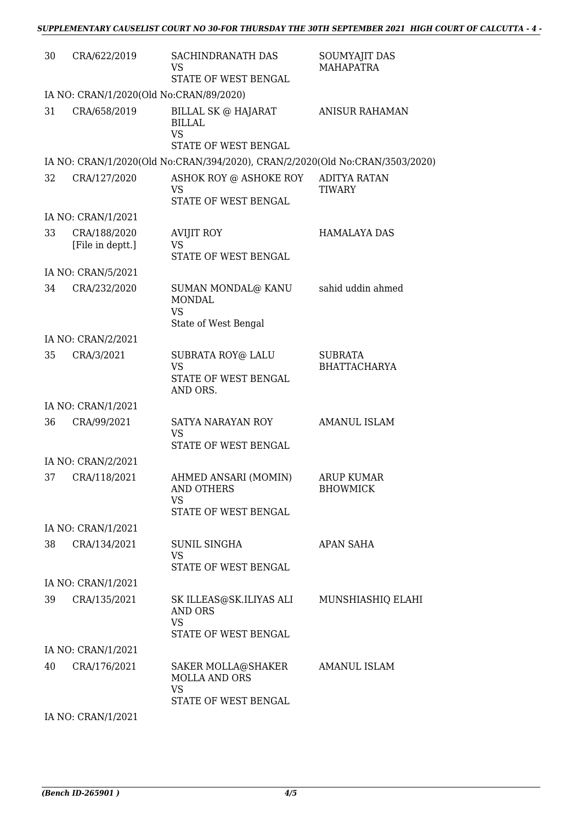| 30 | CRA/622/2019                            | SACHINDRANATH DAS<br>VS<br>STATE OF WEST BENGAL                                | SOUMYAJIT DAS<br><b>MAHAPATRA</b>     |
|----|-----------------------------------------|--------------------------------------------------------------------------------|---------------------------------------|
|    | IA NO: CRAN/1/2020(Old No:CRAN/89/2020) |                                                                                |                                       |
| 31 | CRA/658/2019                            | BILLAL SK @ HAJARAT<br><b>BILLAL</b><br><b>VS</b><br>STATE OF WEST BENGAL      | <b>ANISUR RAHAMAN</b>                 |
|    |                                         | IA NO: CRAN/1/2020(Old No:CRAN/394/2020), CRAN/2/2020(Old No:CRAN/3503/2020)   |                                       |
| 32 | CRA/127/2020                            | ASHOK ROY @ ASHOKE ROY<br><b>VS</b><br>STATE OF WEST BENGAL                    | <b>ADITYA RATAN</b><br><b>TIWARY</b>  |
|    | IA NO: CRAN/1/2021                      |                                                                                |                                       |
| 33 | CRA/188/2020<br>[File in deptt.]        | <b>AVIJIT ROY</b><br><b>VS</b><br>STATE OF WEST BENGAL                         | <b>HAMALAYA DAS</b>                   |
|    | IA NO: CRAN/5/2021                      |                                                                                |                                       |
| 34 | CRA/232/2020                            | SUMAN MONDAL@ KANU<br><b>MONDAL</b><br><b>VS</b><br>State of West Bengal       | sahid uddin ahmed                     |
|    | IA NO: CRAN/2/2021                      |                                                                                |                                       |
| 35 | CRA/3/2021                              | SUBRATA ROY@ LALU<br><b>VS</b><br>STATE OF WEST BENGAL<br>AND ORS.             | <b>SUBRATA</b><br><b>BHATTACHARYA</b> |
|    | IA NO: CRAN/1/2021                      |                                                                                |                                       |
| 36 | CRA/99/2021                             | SATYA NARAYAN ROY<br><b>VS</b><br>STATE OF WEST BENGAL                         | <b>AMANUL ISLAM</b>                   |
|    | IA NO: CRAN/2/2021                      |                                                                                |                                       |
| 37 | CRA/118/2021                            | AHMED ANSARI (MOMIN)<br><b>AND OTHERS</b><br><b>VS</b><br>STATE OF WEST BENGAL | ARUP KUMAR<br><b>BHOWMICK</b>         |
|    | IA NO: CRAN/1/2021                      |                                                                                |                                       |
| 38 | CRA/134/2021                            | <b>SUNIL SINGHA</b><br><b>VS</b><br>STATE OF WEST BENGAL                       | <b>APAN SAHA</b>                      |
|    | IA NO: CRAN/1/2021                      |                                                                                |                                       |
| 39 | CRA/135/2021                            | SK ILLEAS@SK.ILIYAS ALI<br>AND ORS<br><b>VS</b><br>STATE OF WEST BENGAL        | MUNSHIASHIQ ELAHI                     |
|    | IA NO: CRAN/1/2021                      |                                                                                |                                       |
| 40 | CRA/176/2021                            | SAKER MOLLA@SHAKER<br>MOLLA AND ORS<br><b>VS</b><br>STATE OF WEST BENGAL       | <b>AMANUL ISLAM</b>                   |
|    | IA NO: CRAN/1/2021                      |                                                                                |                                       |